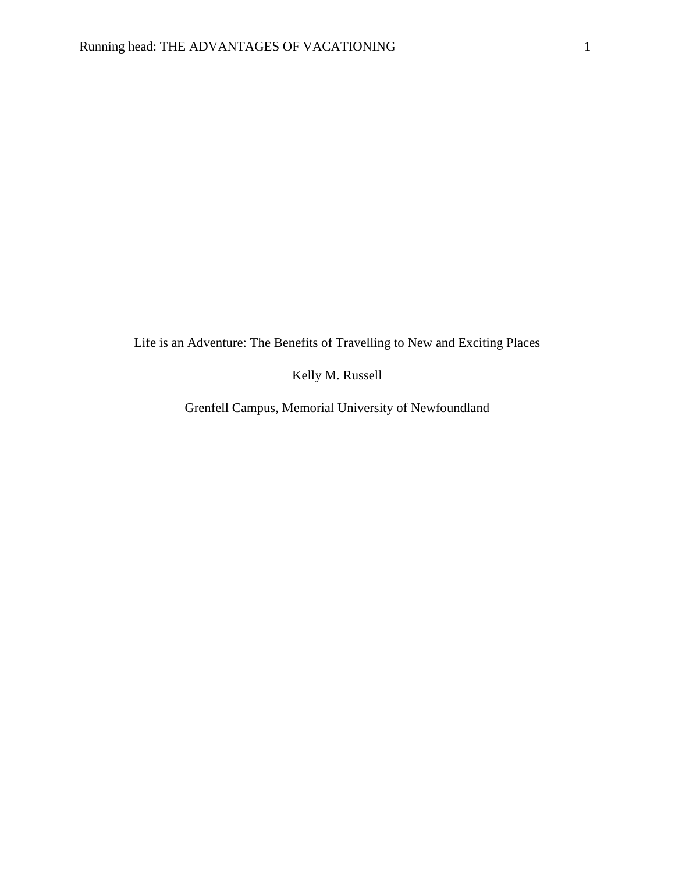Life is an Adventure: The Benefits of Travelling to New and Exciting Places

Kelly M. Russell

Grenfell Campus, Memorial University of Newfoundland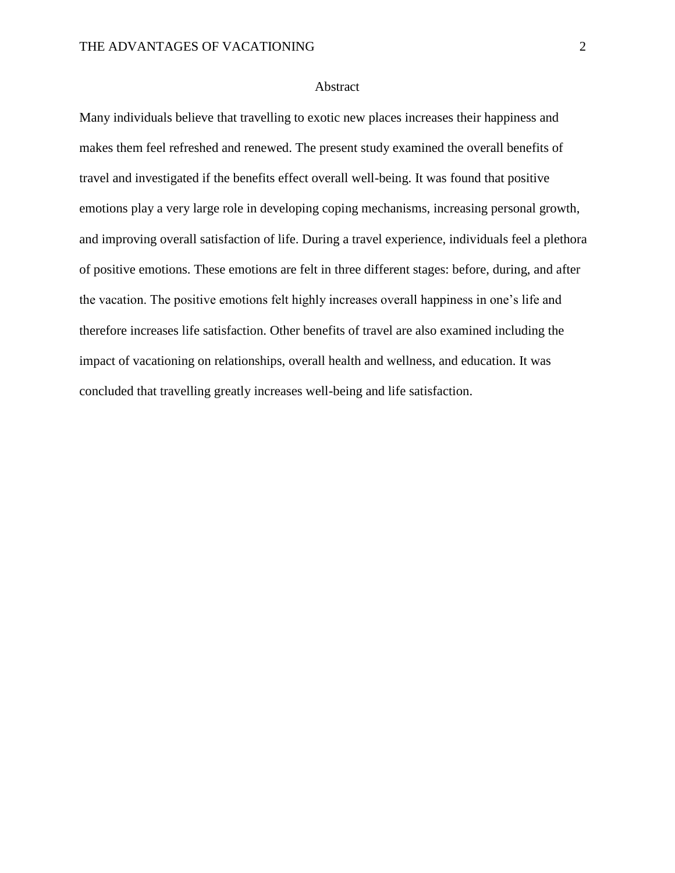# Abstract

Many individuals believe that travelling to exotic new places increases their happiness and makes them feel refreshed and renewed. The present study examined the overall benefits of travel and investigated if the benefits effect overall well-being. It was found that positive emotions play a very large role in developing coping mechanisms, increasing personal growth, and improving overall satisfaction of life. During a travel experience, individuals feel a plethora of positive emotions. These emotions are felt in three different stages: before, during, and after the vacation. The positive emotions felt highly increases overall happiness in one's life and therefore increases life satisfaction. Other benefits of travel are also examined including the impact of vacationing on relationships, overall health and wellness, and education. It was concluded that travelling greatly increases well-being and life satisfaction.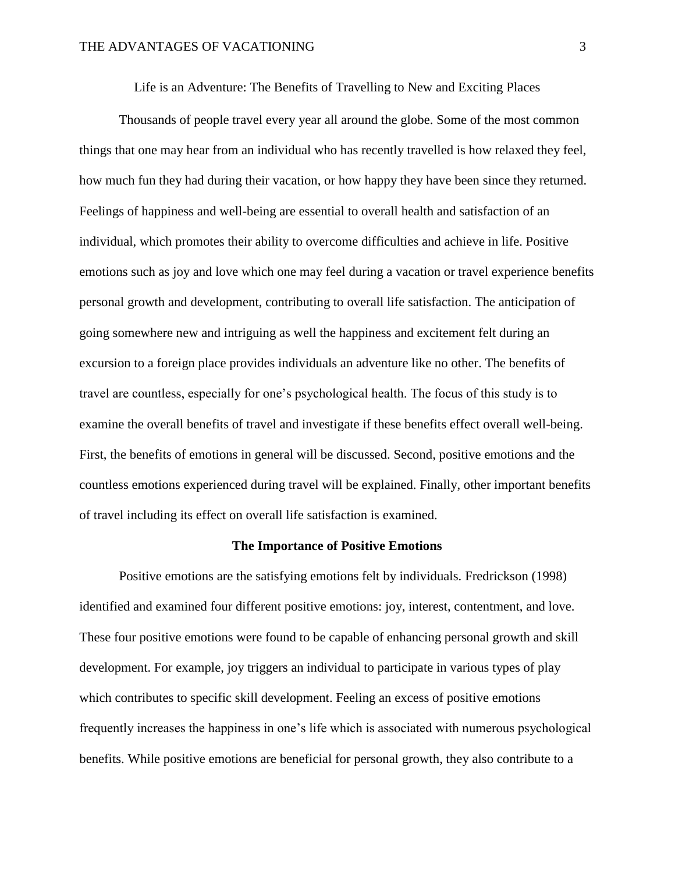Life is an Adventure: The Benefits of Travelling to New and Exciting Places

Thousands of people travel every year all around the globe. Some of the most common things that one may hear from an individual who has recently travelled is how relaxed they feel, how much fun they had during their vacation, or how happy they have been since they returned. Feelings of happiness and well-being are essential to overall health and satisfaction of an individual, which promotes their ability to overcome difficulties and achieve in life. Positive emotions such as joy and love which one may feel during a vacation or travel experience benefits personal growth and development, contributing to overall life satisfaction. The anticipation of going somewhere new and intriguing as well the happiness and excitement felt during an excursion to a foreign place provides individuals an adventure like no other. The benefits of travel are countless, especially for one's psychological health. The focus of this study is to examine the overall benefits of travel and investigate if these benefits effect overall well-being. First, the benefits of emotions in general will be discussed. Second, positive emotions and the countless emotions experienced during travel will be explained. Finally, other important benefits of travel including its effect on overall life satisfaction is examined.

# **The Importance of Positive Emotions**

Positive emotions are the satisfying emotions felt by individuals. Fredrickson (1998) identified and examined four different positive emotions: joy, interest, contentment, and love. These four positive emotions were found to be capable of enhancing personal growth and skill development. For example, joy triggers an individual to participate in various types of play which contributes to specific skill development. Feeling an excess of positive emotions frequently increases the happiness in one's life which is associated with numerous psychological benefits. While positive emotions are beneficial for personal growth, they also contribute to a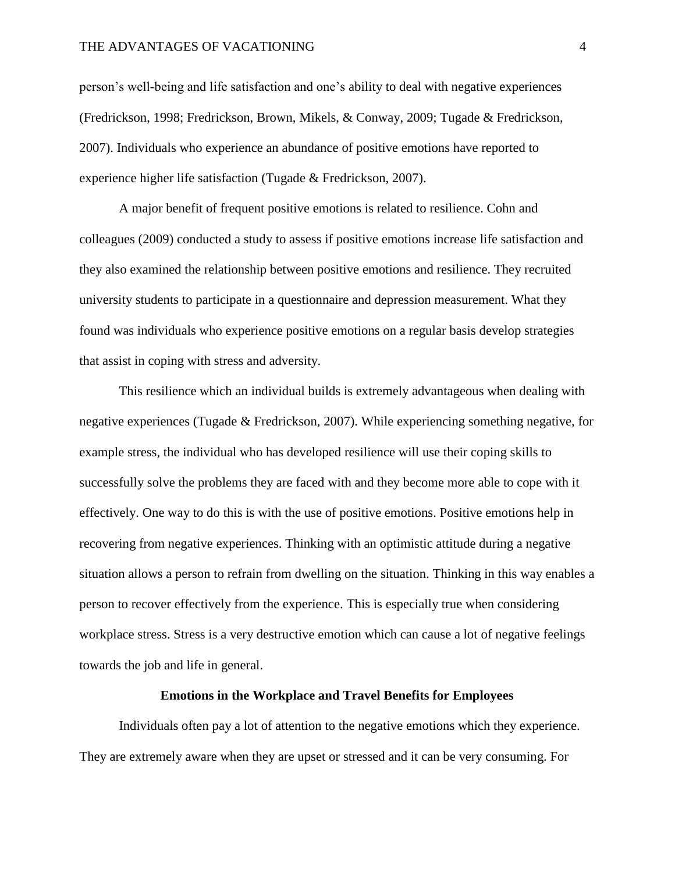#### THE ADVANTAGES OF VACATIONING 4

person's well-being and life satisfaction and one's ability to deal with negative experiences (Fredrickson, 1998; Fredrickson, Brown, Mikels, & Conway, 2009; Tugade & Fredrickson, 2007). Individuals who experience an abundance of positive emotions have reported to experience higher life satisfaction (Tugade & Fredrickson, 2007).

A major benefit of frequent positive emotions is related to resilience. Cohn and colleagues (2009) conducted a study to assess if positive emotions increase life satisfaction and they also examined the relationship between positive emotions and resilience. They recruited university students to participate in a questionnaire and depression measurement. What they found was individuals who experience positive emotions on a regular basis develop strategies that assist in coping with stress and adversity.

This resilience which an individual builds is extremely advantageous when dealing with negative experiences (Tugade & Fredrickson, 2007). While experiencing something negative, for example stress, the individual who has developed resilience will use their coping skills to successfully solve the problems they are faced with and they become more able to cope with it effectively. One way to do this is with the use of positive emotions. Positive emotions help in recovering from negative experiences. Thinking with an optimistic attitude during a negative situation allows a person to refrain from dwelling on the situation. Thinking in this way enables a person to recover effectively from the experience. This is especially true when considering workplace stress. Stress is a very destructive emotion which can cause a lot of negative feelings towards the job and life in general.

# **Emotions in the Workplace and Travel Benefits for Employees**

Individuals often pay a lot of attention to the negative emotions which they experience. They are extremely aware when they are upset or stressed and it can be very consuming. For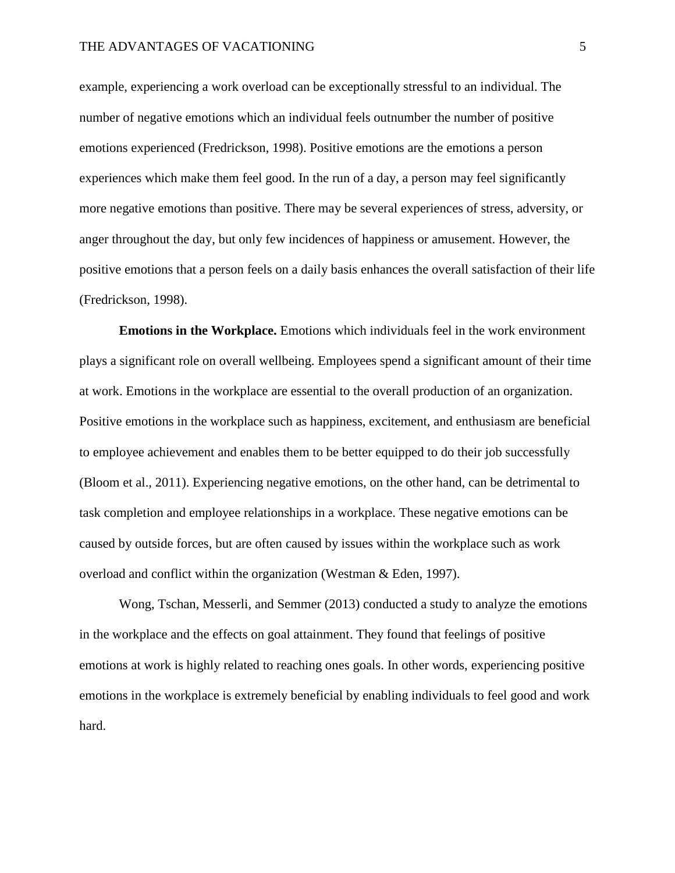example, experiencing a work overload can be exceptionally stressful to an individual. The number of negative emotions which an individual feels outnumber the number of positive emotions experienced (Fredrickson, 1998). Positive emotions are the emotions a person experiences which make them feel good. In the run of a day, a person may feel significantly more negative emotions than positive. There may be several experiences of stress, adversity, or anger throughout the day, but only few incidences of happiness or amusement. However, the positive emotions that a person feels on a daily basis enhances the overall satisfaction of their life (Fredrickson, 1998).

**Emotions in the Workplace.** Emotions which individuals feel in the work environment plays a significant role on overall wellbeing. Employees spend a significant amount of their time at work. Emotions in the workplace are essential to the overall production of an organization. Positive emotions in the workplace such as happiness, excitement, and enthusiasm are beneficial to employee achievement and enables them to be better equipped to do their job successfully (Bloom et al., 2011). Experiencing negative emotions, on the other hand, can be detrimental to task completion and employee relationships in a workplace. These negative emotions can be caused by outside forces, but are often caused by issues within the workplace such as work overload and conflict within the organization (Westman & Eden, 1997).

Wong, Tschan, Messerli, and Semmer (2013) conducted a study to analyze the emotions in the workplace and the effects on goal attainment. They found that feelings of positive emotions at work is highly related to reaching ones goals. In other words, experiencing positive emotions in the workplace is extremely beneficial by enabling individuals to feel good and work hard.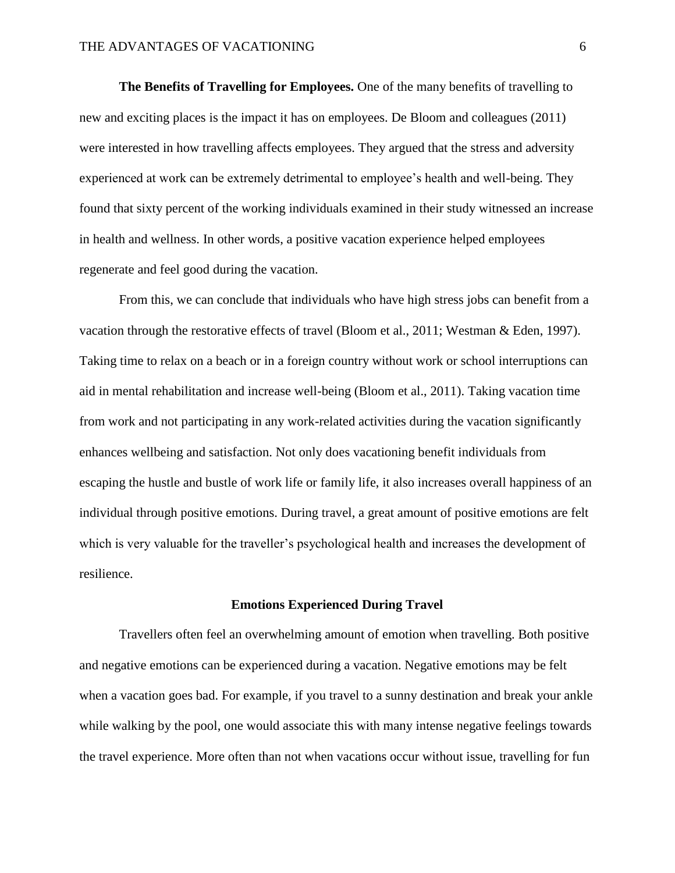**The Benefits of Travelling for Employees.** One of the many benefits of travelling to new and exciting places is the impact it has on employees. De Bloom and colleagues (2011) were interested in how travelling affects employees. They argued that the stress and adversity experienced at work can be extremely detrimental to employee's health and well-being. They found that sixty percent of the working individuals examined in their study witnessed an increase in health and wellness. In other words, a positive vacation experience helped employees regenerate and feel good during the vacation.

From this, we can conclude that individuals who have high stress jobs can benefit from a vacation through the restorative effects of travel (Bloom et al., 2011; Westman & Eden, 1997). Taking time to relax on a beach or in a foreign country without work or school interruptions can aid in mental rehabilitation and increase well-being (Bloom et al., 2011). Taking vacation time from work and not participating in any work-related activities during the vacation significantly enhances wellbeing and satisfaction. Not only does vacationing benefit individuals from escaping the hustle and bustle of work life or family life, it also increases overall happiness of an individual through positive emotions. During travel, a great amount of positive emotions are felt which is very valuable for the traveller's psychological health and increases the development of resilience.

#### **Emotions Experienced During Travel**

Travellers often feel an overwhelming amount of emotion when travelling. Both positive and negative emotions can be experienced during a vacation. Negative emotions may be felt when a vacation goes bad. For example, if you travel to a sunny destination and break your ankle while walking by the pool, one would associate this with many intense negative feelings towards the travel experience. More often than not when vacations occur without issue, travelling for fun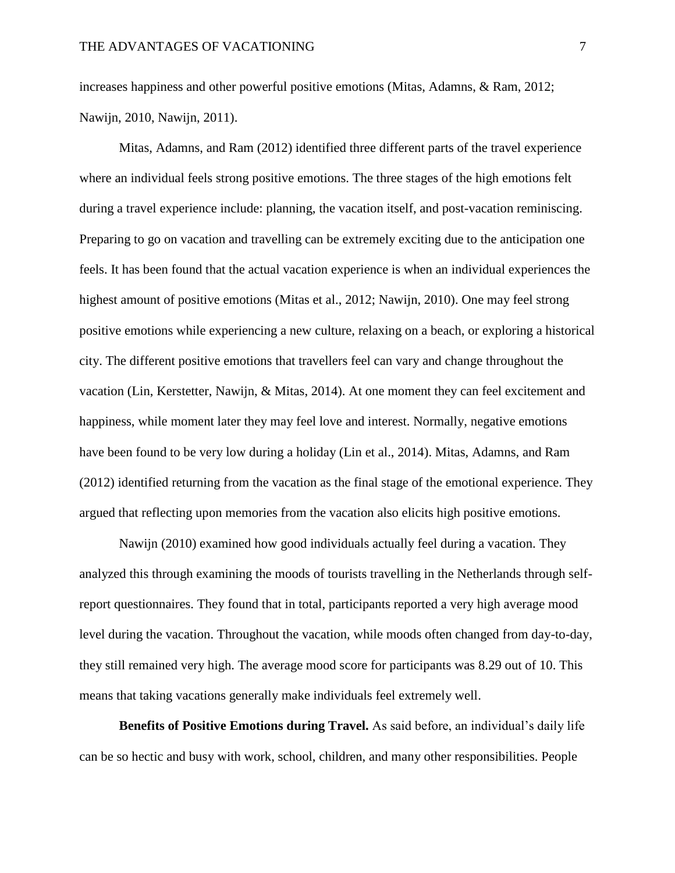increases happiness and other powerful positive emotions (Mitas, Adamns, & Ram, 2012; Nawijn, 2010, Nawijn, 2011).

Mitas, Adamns, and Ram (2012) identified three different parts of the travel experience where an individual feels strong positive emotions. The three stages of the high emotions felt during a travel experience include: planning, the vacation itself, and post-vacation reminiscing. Preparing to go on vacation and travelling can be extremely exciting due to the anticipation one feels. It has been found that the actual vacation experience is when an individual experiences the highest amount of positive emotions (Mitas et al., 2012; Nawijn, 2010). One may feel strong positive emotions while experiencing a new culture, relaxing on a beach, or exploring a historical city. The different positive emotions that travellers feel can vary and change throughout the vacation (Lin, Kerstetter, Nawijn, & Mitas, 2014). At one moment they can feel excitement and happiness, while moment later they may feel love and interest. Normally, negative emotions have been found to be very low during a holiday (Lin et al., 2014). Mitas, Adamns, and Ram (2012) identified returning from the vacation as the final stage of the emotional experience. They argued that reflecting upon memories from the vacation also elicits high positive emotions.

Nawijn (2010) examined how good individuals actually feel during a vacation. They analyzed this through examining the moods of tourists travelling in the Netherlands through selfreport questionnaires. They found that in total, participants reported a very high average mood level during the vacation. Throughout the vacation, while moods often changed from day-to-day, they still remained very high. The average mood score for participants was 8.29 out of 10. This means that taking vacations generally make individuals feel extremely well.

**Benefits of Positive Emotions during Travel.** As said before, an individual's daily life can be so hectic and busy with work, school, children, and many other responsibilities. People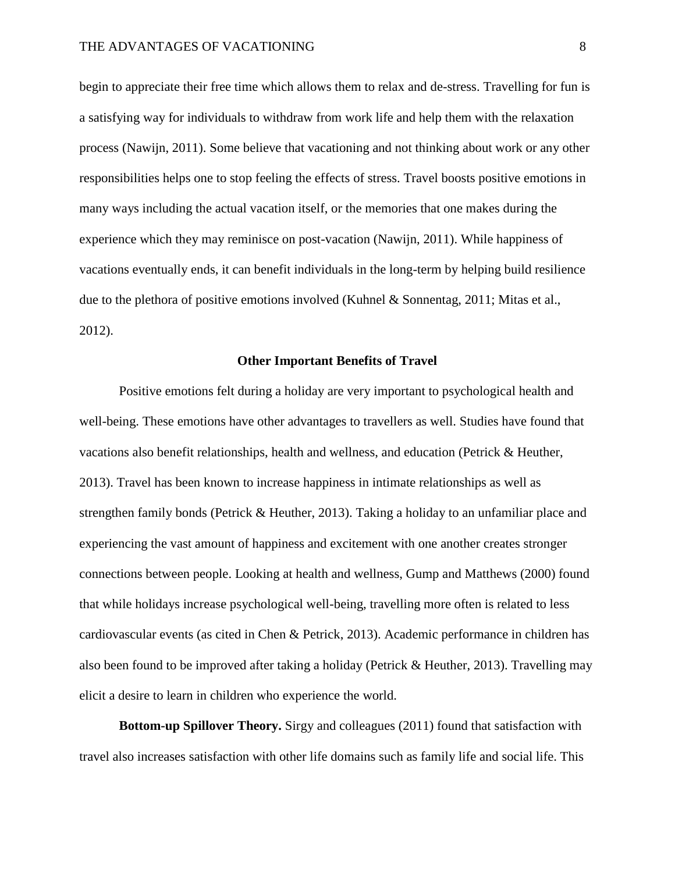begin to appreciate their free time which allows them to relax and de-stress. Travelling for fun is a satisfying way for individuals to withdraw from work life and help them with the relaxation process (Nawijn, 2011). Some believe that vacationing and not thinking about work or any other responsibilities helps one to stop feeling the effects of stress. Travel boosts positive emotions in many ways including the actual vacation itself, or the memories that one makes during the experience which they may reminisce on post-vacation (Nawijn, 2011). While happiness of vacations eventually ends, it can benefit individuals in the long-term by helping build resilience due to the plethora of positive emotions involved (Kuhnel & Sonnentag, 2011; Mitas et al., 2012).

## **Other Important Benefits of Travel**

Positive emotions felt during a holiday are very important to psychological health and well-being. These emotions have other advantages to travellers as well. Studies have found that vacations also benefit relationships, health and wellness, and education (Petrick & Heuther, 2013). Travel has been known to increase happiness in intimate relationships as well as strengthen family bonds (Petrick & Heuther, 2013). Taking a holiday to an unfamiliar place and experiencing the vast amount of happiness and excitement with one another creates stronger connections between people. Looking at health and wellness, Gump and Matthews (2000) found that while holidays increase psychological well-being, travelling more often is related to less cardiovascular events (as cited in Chen & Petrick, 2013). Academic performance in children has also been found to be improved after taking a holiday (Petrick & Heuther, 2013). Travelling may elicit a desire to learn in children who experience the world.

**Bottom-up Spillover Theory.** Sirgy and colleagues (2011) found that satisfaction with travel also increases satisfaction with other life domains such as family life and social life. This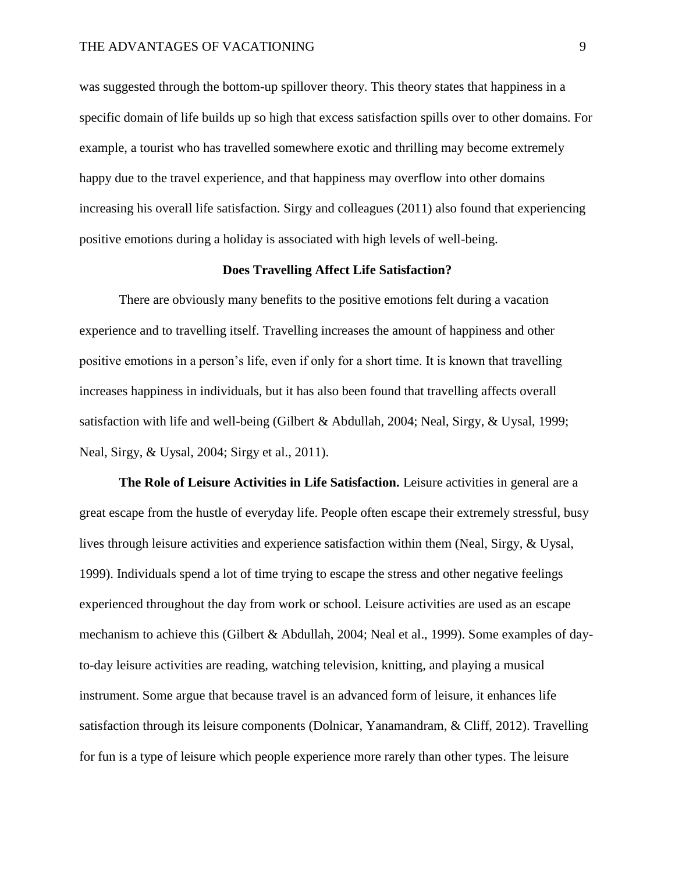was suggested through the bottom-up spillover theory. This theory states that happiness in a specific domain of life builds up so high that excess satisfaction spills over to other domains. For example, a tourist who has travelled somewhere exotic and thrilling may become extremely happy due to the travel experience, and that happiness may overflow into other domains increasing his overall life satisfaction. Sirgy and colleagues (2011) also found that experiencing positive emotions during a holiday is associated with high levels of well-being.

# **Does Travelling Affect Life Satisfaction?**

There are obviously many benefits to the positive emotions felt during a vacation experience and to travelling itself. Travelling increases the amount of happiness and other positive emotions in a person's life, even if only for a short time. It is known that travelling increases happiness in individuals, but it has also been found that travelling affects overall satisfaction with life and well-being (Gilbert & Abdullah, 2004; Neal, Sirgy, & Uysal, 1999; Neal, Sirgy, & Uysal, 2004; Sirgy et al., 2011).

**The Role of Leisure Activities in Life Satisfaction.** Leisure activities in general are a great escape from the hustle of everyday life. People often escape their extremely stressful, busy lives through leisure activities and experience satisfaction within them (Neal, Sirgy, & Uysal, 1999). Individuals spend a lot of time trying to escape the stress and other negative feelings experienced throughout the day from work or school. Leisure activities are used as an escape mechanism to achieve this (Gilbert & Abdullah, 2004; Neal et al., 1999). Some examples of dayto-day leisure activities are reading, watching television, knitting, and playing a musical instrument. Some argue that because travel is an advanced form of leisure, it enhances life satisfaction through its leisure components (Dolnicar, Yanamandram, & Cliff, 2012). Travelling for fun is a type of leisure which people experience more rarely than other types. The leisure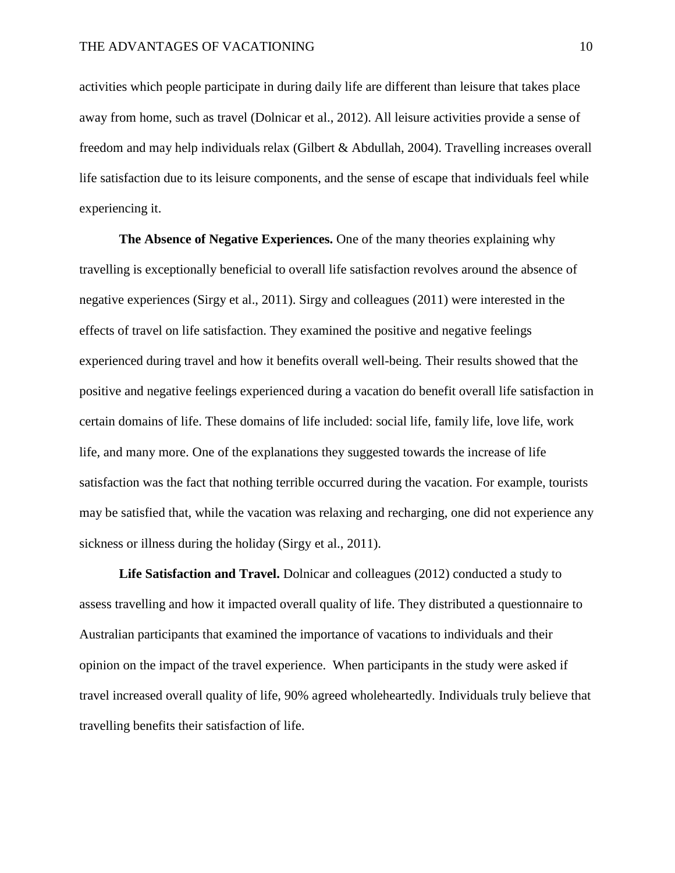activities which people participate in during daily life are different than leisure that takes place away from home, such as travel (Dolnicar et al., 2012). All leisure activities provide a sense of freedom and may help individuals relax (Gilbert & Abdullah, 2004). Travelling increases overall life satisfaction due to its leisure components, and the sense of escape that individuals feel while experiencing it.

**The Absence of Negative Experiences.** One of the many theories explaining why travelling is exceptionally beneficial to overall life satisfaction revolves around the absence of negative experiences (Sirgy et al., 2011). Sirgy and colleagues (2011) were interested in the effects of travel on life satisfaction. They examined the positive and negative feelings experienced during travel and how it benefits overall well-being. Their results showed that the positive and negative feelings experienced during a vacation do benefit overall life satisfaction in certain domains of life. These domains of life included: social life, family life, love life, work life, and many more. One of the explanations they suggested towards the increase of life satisfaction was the fact that nothing terrible occurred during the vacation. For example, tourists may be satisfied that, while the vacation was relaxing and recharging, one did not experience any sickness or illness during the holiday (Sirgy et al., 2011).

**Life Satisfaction and Travel.** Dolnicar and colleagues (2012) conducted a study to assess travelling and how it impacted overall quality of life. They distributed a questionnaire to Australian participants that examined the importance of vacations to individuals and their opinion on the impact of the travel experience. When participants in the study were asked if travel increased overall quality of life, 90% agreed wholeheartedly. Individuals truly believe that travelling benefits their satisfaction of life.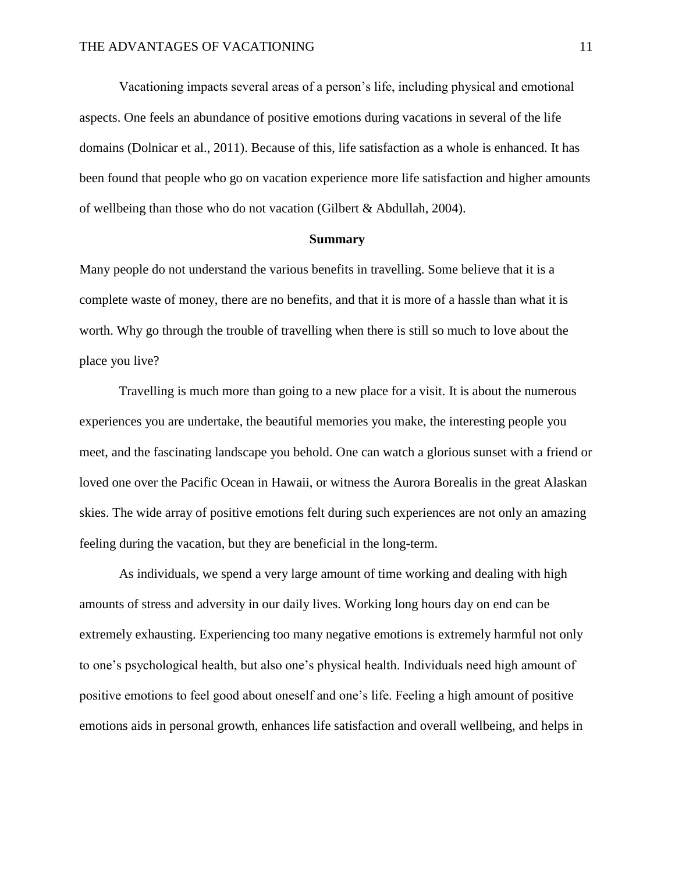Vacationing impacts several areas of a person's life, including physical and emotional aspects. One feels an abundance of positive emotions during vacations in several of the life domains (Dolnicar et al., 2011). Because of this, life satisfaction as a whole is enhanced. It has been found that people who go on vacation experience more life satisfaction and higher amounts of wellbeing than those who do not vacation (Gilbert & Abdullah, 2004).

# **Summary**

Many people do not understand the various benefits in travelling. Some believe that it is a complete waste of money, there are no benefits, and that it is more of a hassle than what it is worth. Why go through the trouble of travelling when there is still so much to love about the place you live?

Travelling is much more than going to a new place for a visit. It is about the numerous experiences you are undertake, the beautiful memories you make, the interesting people you meet, and the fascinating landscape you behold. One can watch a glorious sunset with a friend or loved one over the Pacific Ocean in Hawaii, or witness the Aurora Borealis in the great Alaskan skies. The wide array of positive emotions felt during such experiences are not only an amazing feeling during the vacation, but they are beneficial in the long-term.

As individuals, we spend a very large amount of time working and dealing with high amounts of stress and adversity in our daily lives. Working long hours day on end can be extremely exhausting. Experiencing too many negative emotions is extremely harmful not only to one's psychological health, but also one's physical health. Individuals need high amount of positive emotions to feel good about oneself and one's life. Feeling a high amount of positive emotions aids in personal growth, enhances life satisfaction and overall wellbeing, and helps in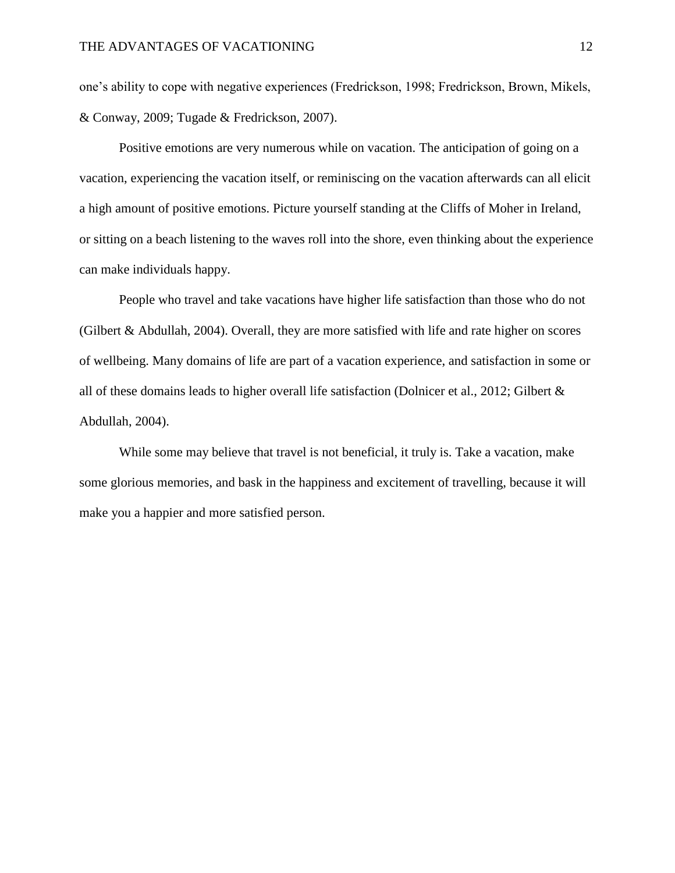one's ability to cope with negative experiences (Fredrickson, 1998; Fredrickson, Brown, Mikels, & Conway, 2009; Tugade & Fredrickson, 2007).

Positive emotions are very numerous while on vacation. The anticipation of going on a vacation, experiencing the vacation itself, or reminiscing on the vacation afterwards can all elicit a high amount of positive emotions. Picture yourself standing at the Cliffs of Moher in Ireland, or sitting on a beach listening to the waves roll into the shore, even thinking about the experience can make individuals happy.

People who travel and take vacations have higher life satisfaction than those who do not (Gilbert & Abdullah, 2004). Overall, they are more satisfied with life and rate higher on scores of wellbeing. Many domains of life are part of a vacation experience, and satisfaction in some or all of these domains leads to higher overall life satisfaction (Dolnicer et al., 2012; Gilbert & Abdullah, 2004).

While some may believe that travel is not beneficial, it truly is. Take a vacation, make some glorious memories, and bask in the happiness and excitement of travelling, because it will make you a happier and more satisfied person.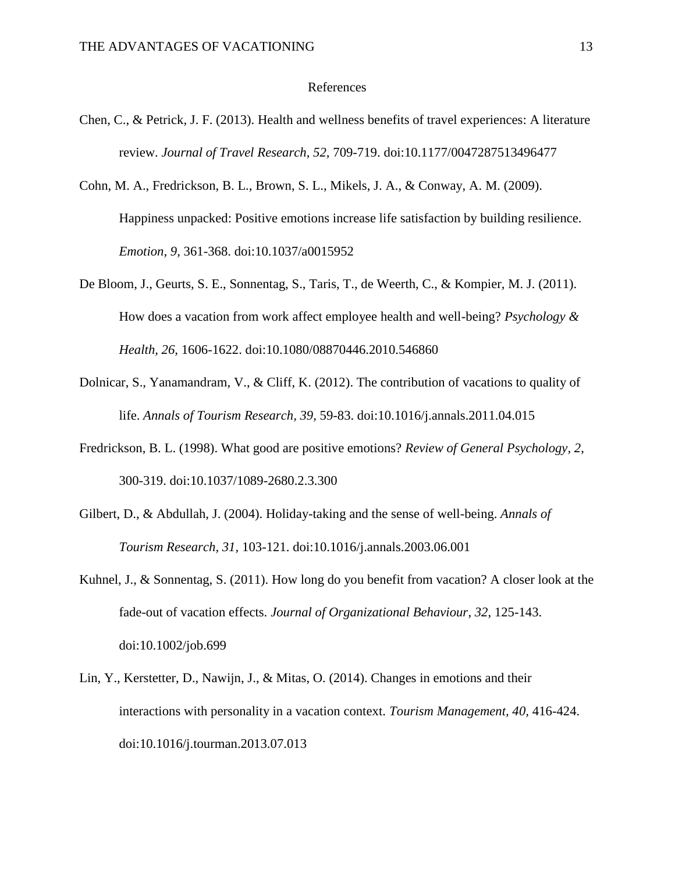## References

- Chen, C., & Petrick, J. F. (2013). Health and wellness benefits of travel experiences: A literature review. *Journal of Travel Research, 52,* 709-719. doi:10.1177/0047287513496477
- Cohn, M. A., Fredrickson, B. L., Brown, S. L., Mikels, J. A., & Conway, A. M. (2009). Happiness unpacked: Positive emotions increase life satisfaction by building resilience. *Emotion, 9,* 361-368. doi:10.1037/a0015952
- De Bloom, J., Geurts, S. E., Sonnentag, S., Taris, T., de Weerth, C., & Kompier, M. J. (2011). How does a vacation from work affect employee health and well-being? *Psychology & Health, 26,* 1606-1622. doi:10.1080/08870446.2010.546860
- Dolnicar, S., Yanamandram, V., & Cliff, K. (2012). The contribution of vacations to quality of life. *Annals of Tourism Research, 39,* 59-83. doi:10.1016/j.annals.2011.04.015
- Fredrickson, B. L. (1998). What good are positive emotions? *Review of General Psychology, 2*, 300-319. doi:10.1037/1089-2680.2.3.300
- Gilbert, D., & Abdullah, J. (2004). Holiday-taking and the sense of well-being. *Annals of Tourism Research, 31,* 103-121. doi:10.1016/j.annals.2003.06.001
- Kuhnel, J., & Sonnentag, S. (2011). How long do you benefit from vacation? A closer look at the fade-out of vacation effects. *Journal of Organizational Behaviour*, *32*, 125-143. doi:10.1002/job.699
- Lin, Y., Kerstetter, D., Nawijn, J., & Mitas, O. (2014). Changes in emotions and their interactions with personality in a vacation context. *Tourism Management, 40,* 416-424. doi:10.1016/j.tourman.2013.07.013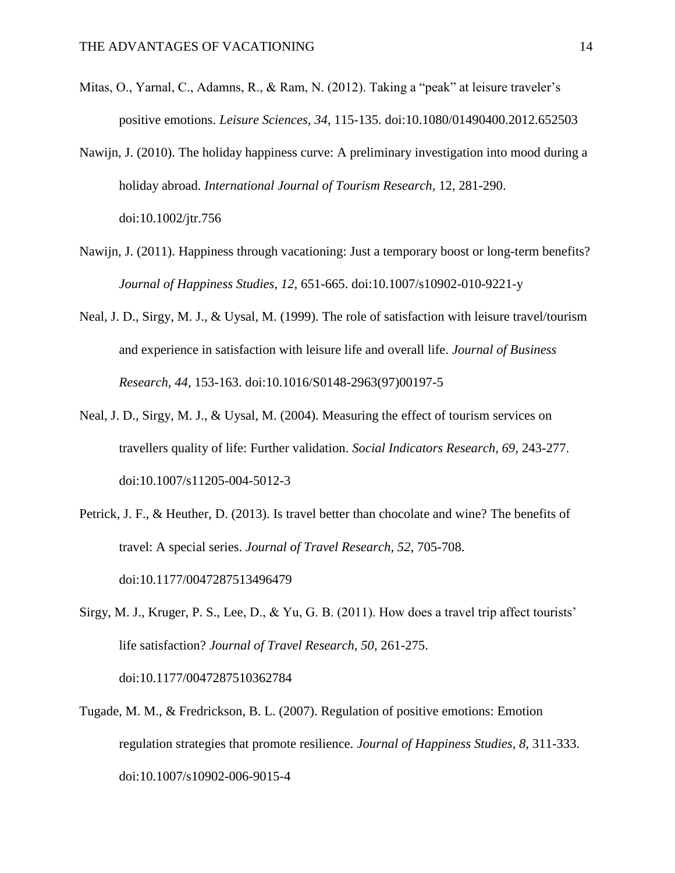- Mitas, O., Yarnal, C., Adamns, R., & Ram, N. (2012). Taking a "peak" at leisure traveler's positive emotions. *Leisure Sciences, 34*, 115-135. doi:10.1080/01490400.2012.652503
- Nawijn, J. (2010). The holiday happiness curve: A preliminary investigation into mood during a holiday abroad. *International Journal of Tourism Research,* 12, 281-290. doi:10.1002/jtr.756
- Nawijn, J. (2011). Happiness through vacationing: Just a temporary boost or long-term benefits? *Journal of Happiness Studies, 12,* 651-665. doi:10.1007/s10902-010-9221-y
- Neal, J. D., Sirgy, M. J., & Uysal, M. (1999). The role of satisfaction with leisure travel/tourism and experience in satisfaction with leisure life and overall life. *Journal of Business Research, 44*, 153-163. doi:10.1016/S0148-2963(97)00197-5
- Neal, J. D., Sirgy, M. J., & Uysal, M. (2004). Measuring the effect of tourism services on travellers quality of life: Further validation. *Social Indicators Research, 69,* 243-277. doi:10.1007/s11205-004-5012-3
- Petrick, J. F., & Heuther, D. (2013). Is travel better than chocolate and wine? The benefits of travel: A special series. *Journal of Travel Research, 52*, 705-708. doi:10.1177/0047287513496479
- Sirgy, M. J., Kruger, P. S., Lee, D., & Yu, G. B. (2011). How does a travel trip affect tourists' life satisfaction? *Journal of Travel Research, 50,* 261-275. doi:10.1177/0047287510362784
- Tugade, M. M., & Fredrickson, B. L. (2007). Regulation of positive emotions: Emotion regulation strategies that promote resilience. *Journal of Happiness Studies, 8,* 311-333. doi:10.1007/s10902-006-9015-4